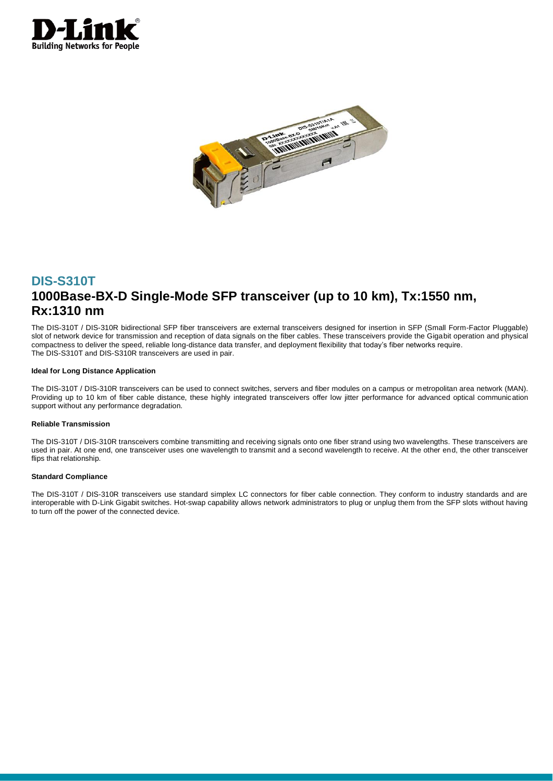



# **DIS-S310T 1000Base-BX-D Single-Mode SFP transceiver (up to 10 km), Tx:1550 nm, Rx:1310 nm**

The DIS-310T / DIS-310R bidirectional SFP fiber transceivers are external transceivers designed for insertion in SFP (Small Form-Factor Pluggable) slot of network device for transmission and reception of data signals on the fiber cables. These transceivers provide the Gigabit operation and physical compactness to deliver the speed, reliable long-distance data transfer, and deployment flexibility that today's fiber networks require. The DIS-S310T and DIS-S310R transceivers are used in pair.

## **Ideal for Long Distance Application**

The DIS-310T / DIS-310R transceivers can be used to connect switches, servers and fiber modules on a campus or metropolitan area network (MAN). Providing up to 10 km of fiber cable distance, these highly integrated transceivers offer low jitter performance for advanced optical communication support without any performance degradation.

#### **Reliable Transmission**

The DIS-310T / DIS-310R transceivers combine transmitting and receiving signals onto one fiber strand using two wavelengths. These transceivers are used in pair. At one end, one transceiver uses one wavelength to transmit and a second wavelength to receive. At the other end, the other transceiver flips that relationship.

## **Standard Compliance**

The DIS-310T / DIS-310R transceivers use standard simplex LC connectors for fiber cable connection. They conform to industry standards and are interoperable with D-Link Gigabit switches. Hot-swap capability allows network administrators to plug or unplug them from the SFP slots without having to turn off the power of the connected device.